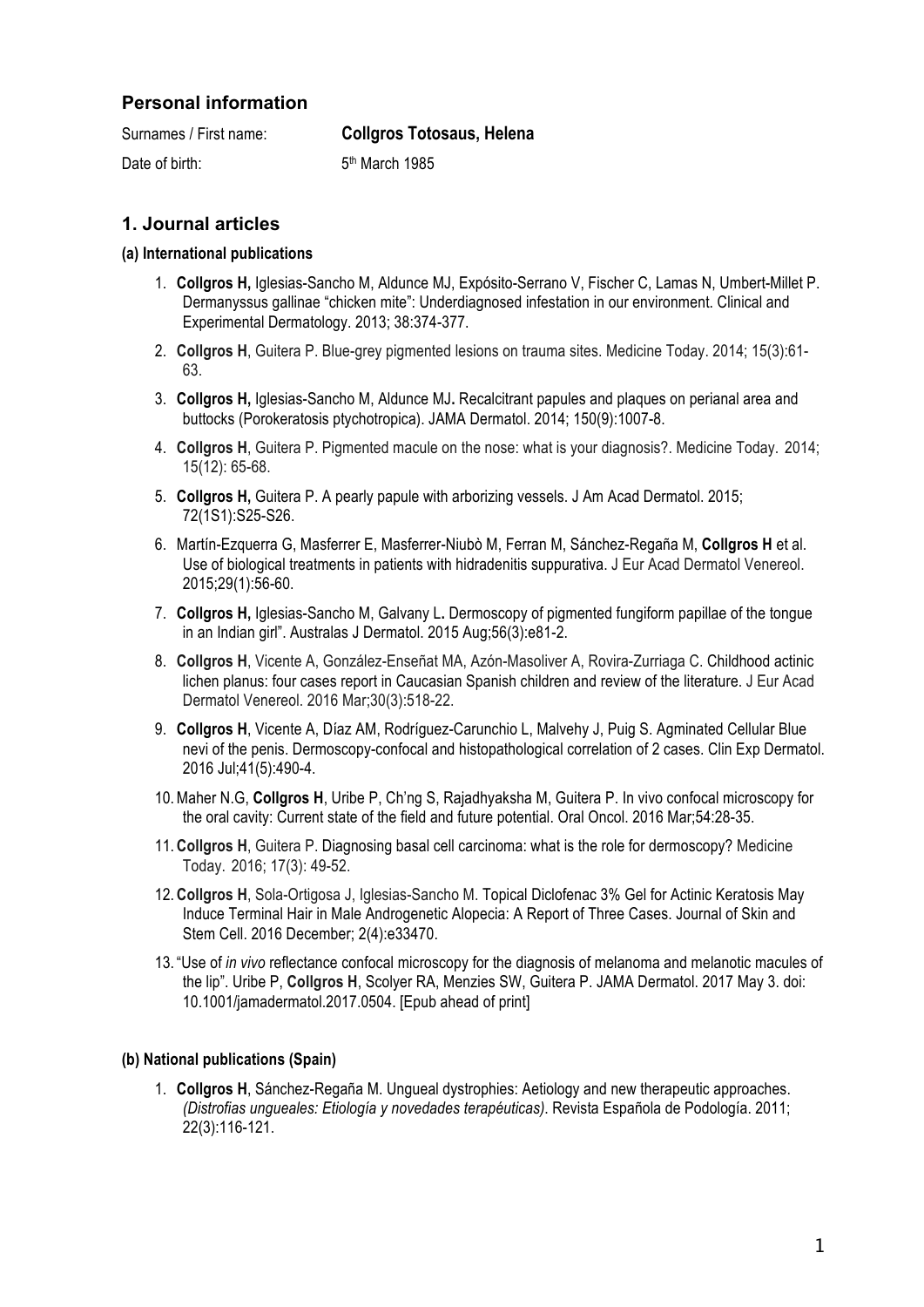## **Personal information**

| Surnames / First name: | <b>Collgros Totosaus, Helena</b> |
|------------------------|----------------------------------|
| Date of birth:         | 5 <sup>th</sup> March 1985       |

# **1. Journal articles**

#### **(a) International publications**

- 1. **Collgros H,** Iglesias-Sancho M, Aldunce MJ, Expósito-Serrano V, Fischer C, Lamas N, Umbert-Millet P. Dermanyssus gallinae "chicken mite": Underdiagnosed infestation in our environment. Clinical and Experimental Dermatology. 2013; 38:374-377.
- 2. **Collgros H**, Guitera P. Blue-grey pigmented lesions on trauma sites. Medicine Today. 2014; 15(3):61- 63.
- 3. **Collgros H,** Iglesias-Sancho M, Aldunce MJ**.** Recalcitrant papules and plaques on perianal area and buttocks (Porokeratosis ptychotropica). JAMA Dermatol. 2014; 150(9):1007-8.
- 4. **Collgros H**, Guitera P. Pigmented macule on the nose: what is your diagnosis?. Medicine Today. 2014; 15(12): 65-68.
- 5. **Collgros H,** Guitera P. A pearly papule with arborizing vessels. J Am Acad Dermatol. 2015; 72(1S1):S25-S26.
- 6. Martín-Ezquerra G, Masferrer E, Masferrer-Niubò M, Ferran M, Sánchez-Regaña M, **Collgros H** et al. Use of biological treatments in patients with hidradenitis suppurativa. J Eur Acad Dermatol Venereol. 2015;29(1):56-60.
- 7. **Collgros H,** Iglesias-Sancho M, Galvany L**.** Dermoscopy of pigmented fungiform papillae of the tongue in an Indian girl". Australas J Dermatol. 2015 Aug;56(3):e81-2.
- 8. **Collgros H**, Vicente A, González-Enseñat MA, Azón-Masoliver A, Rovira-Zurriaga C. Childhood actinic lichen planus: four cases report in Caucasian Spanish children and review of the literature. J Eur Acad Dermatol Venereol. 2016 Mar;30(3):518-22.
- 9. **Collgros H**, Vicente A, Díaz AM, Rodríguez-Carunchio L, Malvehy J, Puig S. Agminated Cellular Blue nevi of the penis. Dermoscopy-confocal and histopathological correlation of 2 cases. Clin Exp Dermatol. 2016 Jul;41(5):490-4.
- 10.Maher N.G, **Collgros H**, Uribe P, Ch'ng S, Rajadhyaksha M, Guitera P. In vivo confocal microscopy for the oral cavity: Current state of the field and future potential. Oral Oncol. 2016 Mar;54:28-35.
- 11. **Collgros H**, Guitera P. Diagnosing basal cell carcinoma: what is the role for dermoscopy? Medicine Today. 2016; 17(3): 49-52.
- 12. **Collgros H**, Sola-Ortigosa J, Iglesias-Sancho M. Topical Diclofenac 3% Gel for Actinic Keratosis May Induce Terminal Hair in Male Androgenetic Alopecia: A Report of Three Cases. Journal of Skin and Stem Cell. 2016 December; 2(4):e33470.
- 13. "Use of *in vivo* reflectance confocal microscopy for the diagnosis of melanoma and melanotic macules of the lip". Uribe P, **Collgros H**, Scolyer RA, Menzies SW, Guitera P. JAMA Dermatol. 2017 May 3. doi: 10.1001/jamadermatol.2017.0504. [Epub ahead of print]

### **(b) National publications (Spain)**

1. **Collgros H**, Sánchez-Regaña M. Ungueal dystrophies: Aetiology and new therapeutic approaches. *(Distrofias ungueales: Etiología y novedades terapéuticas)*. Revista Española de Podología. 2011; 22(3):116-121.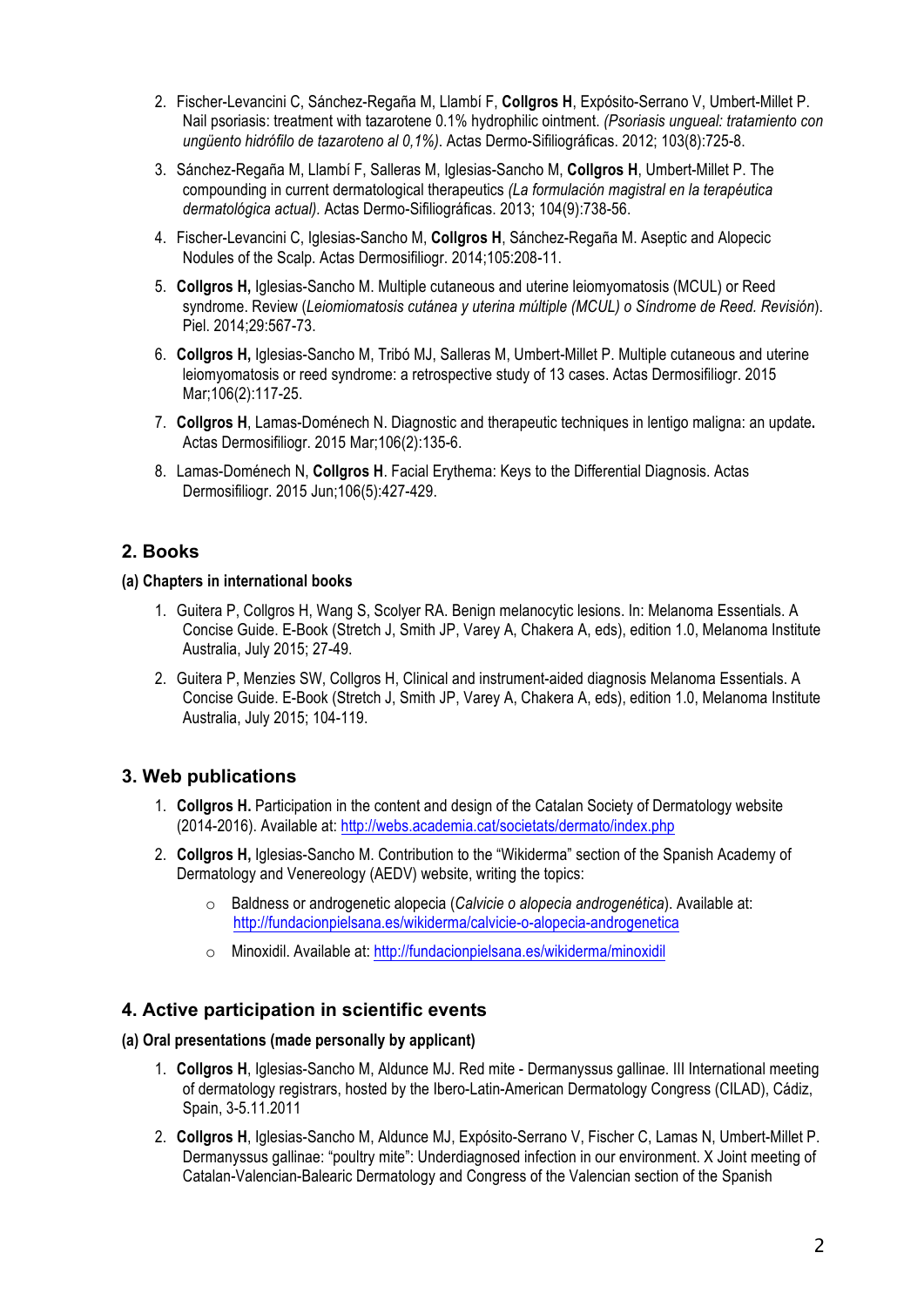- 2. Fischer-Levancini C, Sánchez-Regaña M, Llambí F, **Collgros H**, Expósito-Serrano V, Umbert-Millet P. Nail psoriasis: treatment with tazarotene 0.1% hydrophilic ointment. *(Psoriasis ungueal: tratamiento con ungüento hidrófilo de tazaroteno al 0,1%)*. Actas Dermo-Sifiliográficas. 2012; 103(8):725-8.
- 3. Sánchez-Regaña M, Llambí F, Salleras M, Iglesias-Sancho M, **Collgros H**, Umbert-Millet P. The compounding in current dermatological therapeutics *(La formulación magistral en la terapéutica dermatológica actual).* Actas Dermo-Sifiliográficas. 2013; 104(9):738-56.
- 4. Fischer-Levancini C, Iglesias-Sancho M, **Collgros H**, Sánchez-Regaña M. Aseptic and Alopecic Nodules of the Scalp. Actas Dermosifiliogr. 2014;105:208-11.
- 5. **Collgros H,** Iglesias-Sancho M. Multiple cutaneous and uterine leiomyomatosis (MCUL) or Reed syndrome. Review (*Leiomiomatosis cutánea y uterina múltiple (MCUL) o Síndrome de Reed. Revisión*). Piel. 2014;29:567-73.
- 6. **Collgros H,** Iglesias-Sancho M, Tribó MJ, Salleras M, Umbert-Millet P. Multiple cutaneous and uterine leiomyomatosis or reed syndrome: a retrospective study of 13 cases. Actas Dermosifiliogr. 2015 Mar; 106(2): 117-25.
- 7. **Collgros H**, Lamas-Doménech N. Diagnostic and therapeutic techniques in lentigo maligna: an update**.**  Actas Dermosifiliogr. 2015 Mar;106(2):135-6.
- 8. Lamas-Doménech N, **Collgros H**. Facial Erythema: Keys to the Differential Diagnosis. Actas Dermosifiliogr. 2015 Jun;106(5):427-429.

## **2. Books**

#### **(a) Chapters in international books**

- 1. Guitera P, Collgros H, Wang S, Scolyer RA. Benign melanocytic lesions. In: Melanoma Essentials. A Concise Guide. E-Book (Stretch J, Smith JP, Varey A, Chakera A, eds), edition 1.0, Melanoma Institute Australia, July 2015; 27-49.
- 2. Guitera P, Menzies SW, Collgros H, Clinical and instrument-aided diagnosis Melanoma Essentials. A Concise Guide. E-Book (Stretch J, Smith JP, Varey A, Chakera A, eds), edition 1.0, Melanoma Institute Australia, July 2015; 104-119.

# **3. Web publications**

- 1. **Collgros H.** Participation in the content and design of the Catalan Society of Dermatology website (2014-2016). Available at: http://webs.academia.cat/societats/dermato/index.php
- 2. **Collgros H,** Iglesias-Sancho M. Contribution to the "Wikiderma" section of the Spanish Academy of Dermatology and Venereology (AEDV) website, writing the topics:
	- o Baldness or androgenetic alopecia (*Calvicie o alopecia androgenética*). Available at: http://fundacionpielsana.es/wikiderma/calvicie-o-alopecia-androgenetica
	- o Minoxidil. Available at: http://fundacionpielsana.es/wikiderma/minoxidil

## **4. Active participation in scientific events**

### **(a) Oral presentations (made personally by applicant)**

- 1. **Collgros H**, Iglesias-Sancho M, Aldunce MJ. Red mite Dermanyssus gallinae. III International meeting of dermatology registrars, hosted by the Ibero-Latin-American Dermatology Congress (CILAD), Cádiz, Spain, 3-5.11.2011
- 2. **Collgros H**, Iglesias-Sancho M, Aldunce MJ, Expósito-Serrano V, Fischer C, Lamas N, Umbert-Millet P. Dermanyssus gallinae: "poultry mite": Underdiagnosed infection in our environment. X Joint meeting of Catalan-Valencian-Balearic Dermatology and Congress of the Valencian section of the Spanish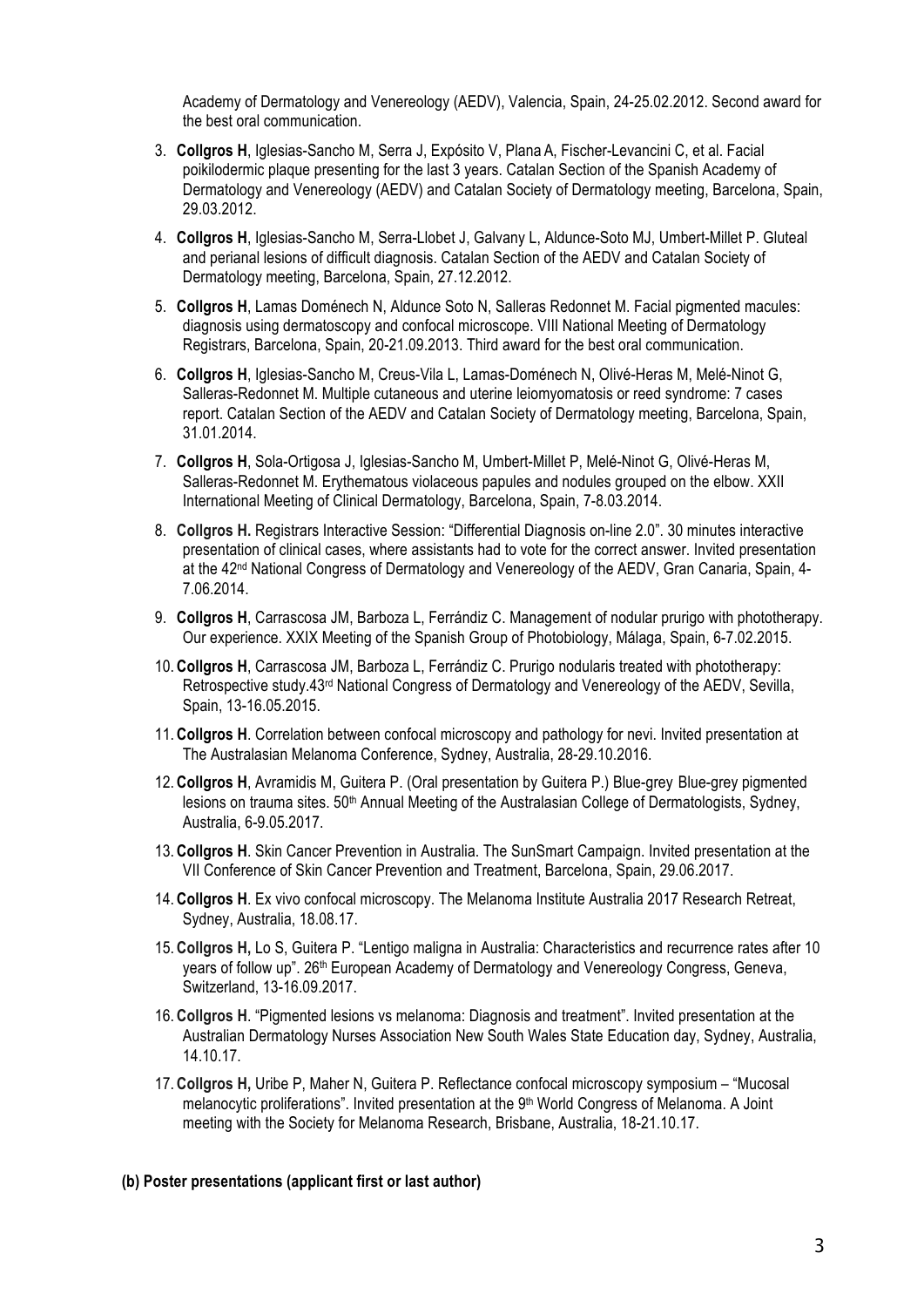Academy of Dermatology and Venereology (AEDV), Valencia, Spain, 24-25.02.2012. Second award for the best oral communication.

- 3. **Collgros H**, Iglesias-Sancho M, Serra J, Expósito V, Plana A, Fischer-Levancini C, et al. Facial poikilodermic plaque presenting for the last 3 years. Catalan Section of the Spanish Academy of Dermatology and Venereology (AEDV) and Catalan Society of Dermatology meeting, Barcelona, Spain, 29.03.2012.
- 4. **Collgros H**, Iglesias-Sancho M, Serra-Llobet J, Galvany L, Aldunce-Soto MJ, Umbert-Millet P. Gluteal and perianal lesions of difficult diagnosis. Catalan Section of the AEDV and Catalan Society of Dermatology meeting, Barcelona, Spain, 27.12.2012.
- 5. **Collgros H**, Lamas Doménech N, Aldunce Soto N, Salleras Redonnet M. Facial pigmented macules: diagnosis using dermatoscopy and confocal microscope. VIII National Meeting of Dermatology Registrars, Barcelona, Spain, 20-21.09.2013. Third award for the best oral communication.
- 6. **Collgros H**, Iglesias-Sancho M, Creus-Vila L, Lamas-Doménech N, Olivé-Heras M, Melé-Ninot G, Salleras-Redonnet M. Multiple cutaneous and uterine leiomyomatosis or reed syndrome: 7 cases report. Catalan Section of the AEDV and Catalan Society of Dermatology meeting, Barcelona, Spain, 31.01.2014.
- 7. **Collgros H**, Sola-Ortigosa J, Iglesias-Sancho M, Umbert-Millet P, Melé-Ninot G, Olivé-Heras M, Salleras-Redonnet M. Erythematous violaceous papules and nodules grouped on the elbow. XXII International Meeting of Clinical Dermatology, Barcelona, Spain, 7-8.03.2014.
- 8. **Collgros H.** Registrars Interactive Session: "Differential Diagnosis on-line 2.0". 30 minutes interactive presentation of clinical cases, where assistants had to vote for the correct answer. Invited presentation at the 42<sup>nd</sup> National Congress of Dermatology and Venereology of the AEDV, Gran Canaria, Spain, 4-7.06.2014.
- 9. **Collgros H**, Carrascosa JM, Barboza L, Ferrándiz C. Management of nodular prurigo with phototherapy. Our experience. XXIX Meeting of the Spanish Group of Photobiology, Málaga, Spain, 6-7.02.2015.
- 10. **Collgros H**, Carrascosa JM, Barboza L, Ferrándiz C. Prurigo nodularis treated with phototherapy: Retrospective study.43<sup>rd</sup> National Congress of Dermatology and Venereology of the AEDV, Sevilla, Spain, 13-16.05.2015.
- 11. **Collgros H**. Correlation between confocal microscopy and pathology for nevi. Invited presentation at The Australasian Melanoma Conference, Sydney, Australia, 28-29.10.2016.
- 12. **Collgros H**, Avramidis M, Guitera P. (Oral presentation by Guitera P.) Blue-grey Blue-grey pigmented lesions on trauma sites. 50<sup>th</sup> Annual Meeting of the Australasian College of Dermatologists, Sydney, Australia, 6-9.05.2017.
- 13. **Collgros H**. Skin Cancer Prevention in Australia. The SunSmart Campaign. Invited presentation at the VII Conference of Skin Cancer Prevention and Treatment, Barcelona, Spain, 29.06.2017.
- 14. **Collgros H**. Ex vivo confocal microscopy. The Melanoma Institute Australia 2017 Research Retreat, Sydney, Australia, 18.08.17.
- 15. **Collgros H,** Lo S, Guitera P. "Lentigo maligna in Australia: Characteristics and recurrence rates after 10 years of follow up". 26<sup>th</sup> European Academy of Dermatology and Venereology Congress, Geneva, Switzerland, 13-16.09.2017.
- 16. **Collgros H**. "Pigmented lesions vs melanoma: Diagnosis and treatment". Invited presentation at the Australian Dermatology Nurses Association New South Wales State Education day, Sydney, Australia, 14.10.17.
- 17. **Collgros H,** Uribe P, Maher N, Guitera P. Reflectance confocal microscopy symposium "Mucosal melanocytic proliferations". Invited presentation at the 9<sup>th</sup> World Congress of Melanoma. A Joint meeting with the Society for Melanoma Research, Brisbane, Australia, 18-21.10.17.

#### **(b) Poster presentations (applicant first or last author)**